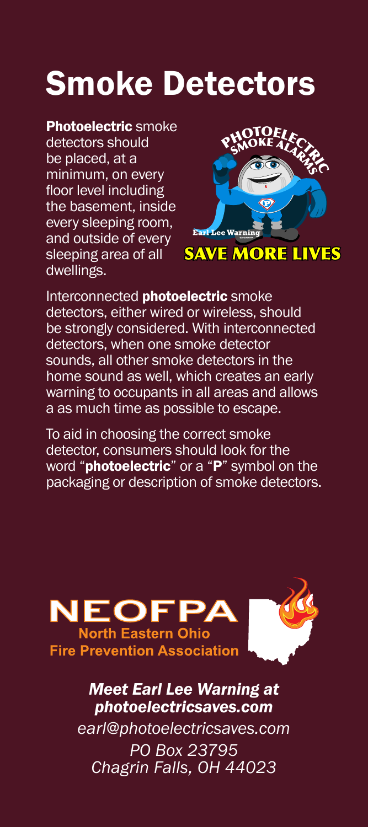# Smoke Detectors

## Photoelectric smoke

detectors should be placed, at a minimum, on every floor level including the basement, inside every sleeping room, and outside of every sleeping area of all dwellings.



**SAVE MORE LIVES** 

Interconnected **photoelectric** smoke detectors, either wired or wireless, should be strongly considered. With interconnected detectors, when one smoke detector sounds, all other smoke detectors in the home sound as well, which creates an early warning to occupants in all areas and allows a as much time as possible to escape.

To aid in choosing the correct smoke detector, consumers should look for the word "**photoelectric**" or a "P" symbol on the packaging or description of smoke detectors.



*Meet Earl Lee Warning at photoelectricsaves.com*

*earl@photoelectricsaves.com PO Box 23795 Chagrin Falls, OH 44023*